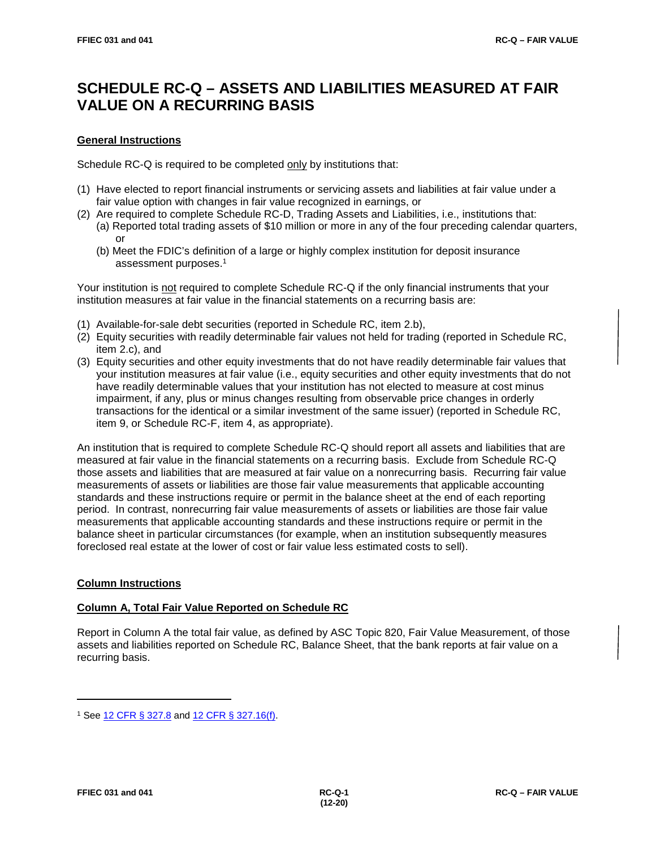# **SCHEDULE RC-Q – ASSETS AND LIABILITIES MEASURED AT FAIR VALUE ON A RECURRING BASIS**

## **General Instructions**

Schedule RC-Q is required to be completed only by institutions that:

- (1) Have elected to report financial instruments or servicing assets and liabilities at fair value under a fair value option with changes in fair value recognized in earnings, or
- (2) Are required to complete Schedule RC-D, Trading Assets and Liabilities, i.e., institutions that: (a) Reported total trading assets of \$10 million or more in any of the four preceding calendar quarters, or
	- (b) Meet the FDIC's definition of a large or highly complex institution for deposit insurance assessment purposes. 1

Your institution is not required to complete Schedule RC-Q if the only financial instruments that your institution measures at fair value in the financial statements on a recurring basis are:

- (1) Available-for-sale debt securities (reported in Schedule RC, item 2.b),
- (2) Equity securities with readily determinable fair values not held for trading (reported in Schedule RC, item 2.c), and
- (3) Equity securities and other equity investments that do not have readily determinable fair values that your institution measures at fair value (i.e., equity securities and other equity investments that do not have readily determinable values that your institution has not elected to measure at cost minus impairment, if any, plus or minus changes resulting from observable price changes in orderly transactions for the identical or a similar investment of the same issuer) (reported in Schedule RC, item 9, or Schedule RC-F, item 4, as appropriate).

An institution that is required to complete Schedule RC-Q should report all assets and liabilities that are measured at fair value in the financial statements on a recurring basis. Exclude from Schedule RC-Q those assets and liabilities that are measured at fair value on a nonrecurring basis. Recurring fair value measurements of assets or liabilities are those fair value measurements that applicable accounting standards and these instructions require or permit in the balance sheet at the end of each reporting period. In contrast, nonrecurring fair value measurements of assets or liabilities are those fair value measurements that applicable accounting standards and these instructions require or permit in the balance sheet in particular circumstances (for example, when an institution subsequently measures foreclosed real estate at the lower of cost or fair value less estimated costs to sell).

# **Column Instructions**

### **Column A, Total Fair Value Reported on Schedule RC**

Report in Column A the total fair value, as defined by ASC Topic 820, Fair Value Measurement, of those assets and liabilities reported on Schedule RC, Balance Sheet, that the bank reports at fair value on a recurring basis.

<sup>1</sup> See [12 CFR § 327.8](https://www.ecfr.gov/cgi-bin/text-idx?SID=d761cf0a9e8d24d6a6d06c242f4b6857&mc=true&node=pt12.5.327&rgn=div5#se12.5.327_18) and [12 CFR § 327.16\(f\).](https://www.ecfr.gov/cgi-bin/text-idx?SID=d761cf0a9e8d24d6a6d06c242f4b6857&mc=true&node=pt12.5.327&rgn=div5#se12.5.327_116)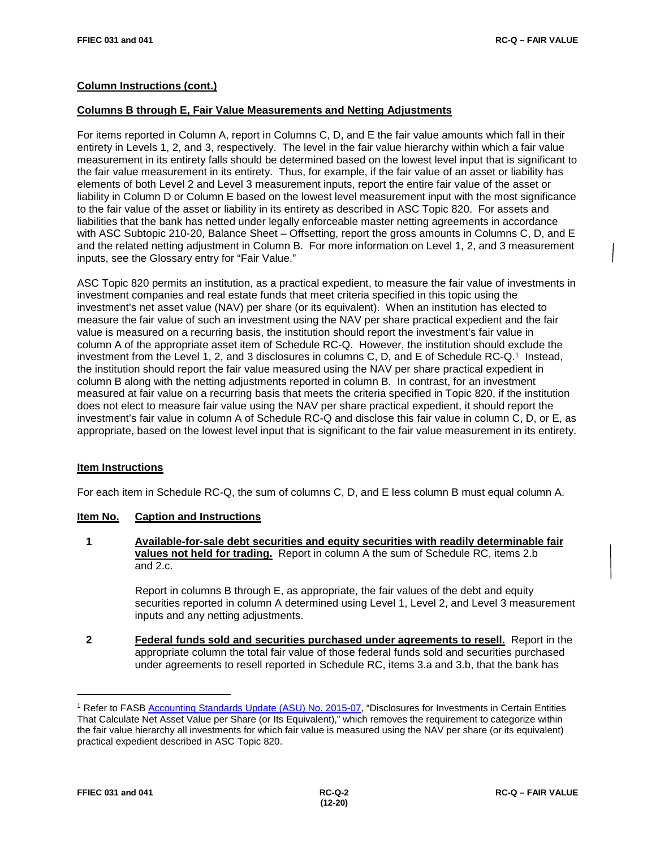## **Column Instructions (cont.)**

#### **Columns B through E, Fair Value Measurements and Netting Adjustments**

For items reported in Column A, report in Columns C, D, and E the fair value amounts which fall in their entirety in Levels 1, 2, and 3, respectively. The level in the fair value hierarchy within which a fair value measurement in its entirety falls should be determined based on the lowest level input that is significant to the fair value measurement in its entirety. Thus, for example, if the fair value of an asset or liability has elements of both Level 2 and Level 3 measurement inputs, report the entire fair value of the asset or liability in Column D or Column E based on the lowest level measurement input with the most significance to the fair value of the asset or liability in its entirety as described in ASC Topic 820. For assets and liabilities that the bank has netted under legally enforceable master netting agreements in accordance with ASC Subtopic 210-20, Balance Sheet – Offsetting, report the gross amounts in Columns C, D, and E and the related netting adjustment in Column B. For more information on Level 1, 2, and 3 measurement inputs, see the Glossary entry for "Fair Value."

ASC Topic 820 permits an institution, as a practical expedient, to measure the fair value of investments in investment companies and real estate funds that meet criteria specified in this topic using the investment's net asset value (NAV) per share (or its equivalent). When an institution has elected to measure the fair value of such an investment using the NAV per share practical expedient and the fair value is measured on a recurring basis, the institution should report the investment's fair value in column A of the appropriate asset item of Schedule RC-Q. However, the institution should exclude the investment from the Level 1, 2, and 3 disclosures in columns C, D, and E of Schedule RC-Q. 1 Instead, the institution should report the fair value measured using the NAV per share practical expedient in column B along with the netting adjustments reported in column B. In contrast, for an investment measured at fair value on a recurring basis that meets the criteria specified in Topic 820, if the institution does not elect to measure fair value using the NAV per share practical expedient, it should report the investment's fair value in column A of Schedule RC-Q and disclose this fair value in column C, D, or E, as appropriate, based on the lowest level input that is significant to the fair value measurement in its entirety.

### **Item Instructions**

For each item in Schedule RC-Q, the sum of columns C, D, and E less column B must equal column A.

#### **Item No. Caption and Instructions**

 **1 Available-for-sale debt securities and equity securities with readily determinable fair values not held for trading.** Report in column A the sum of Schedule RC, items 2.b and 2.c.

> Report in columns B through E, as appropriate, the fair values of the debt and equity securities reported in column A determined using Level 1, Level 2, and Level 3 measurement inputs and any netting adjustments.

 **2 Federal funds sold and securities purchased under agreements to resell.** Report in the appropriate column the total fair value of those federal funds sold and securities purchased under agreements to resell reported in Schedule RC, items 3.a and 3.b, that the bank has

<sup>1</sup> Refer to FASB [Accounting Standards Update \(ASU\) No. 2015-07,](https://www.fasb.org/jsp/FASB/Document_C/DocumentPage?cid=1176165981889&acceptedDisclaimer=true) "Disclosures for Investments in Certain Entities That Calculate Net Asset Value per Share (or Its Equivalent)," which removes the requirement to categorize within the fair value hierarchy all investments for which fair value is measured using the NAV per share (or its equivalent) practical expedient described in ASC Topic 820.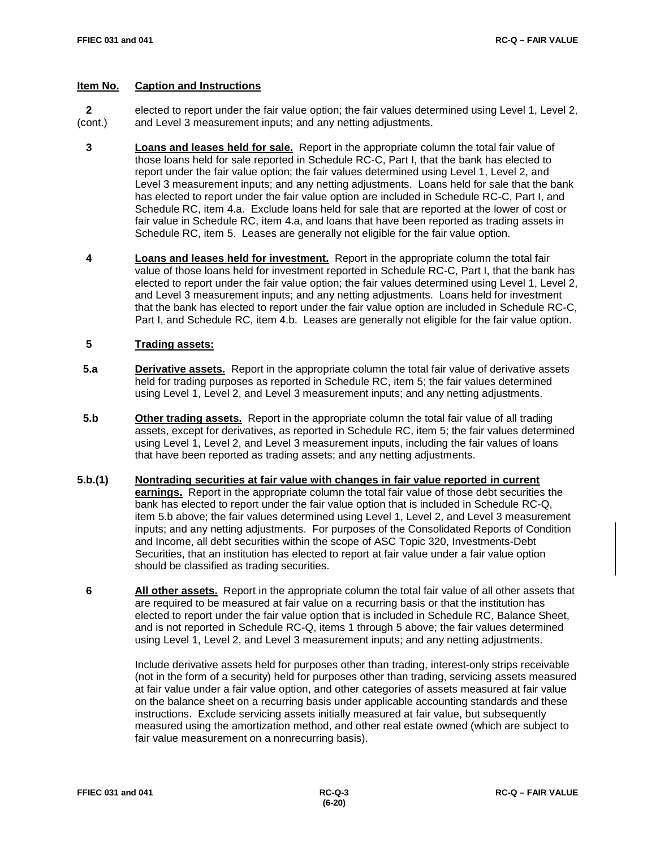### **Item No. Caption and Instructions**

 **2** elected to report under the fair value option; the fair values determined using Level 1, Level 2, (cont.) and Level 3 measurement inputs; and any netting adjustments.

- **3 Loans and leases held for sale.** Report in the appropriate column the total fair value of those loans held for sale reported in Schedule RC-C, Part I, that the bank has elected to report under the fair value option; the fair values determined using Level 1, Level 2, and Level 3 measurement inputs; and any netting adjustments. Loans held for sale that the bank has elected to report under the fair value option are included in Schedule RC-C, Part I, and Schedule RC, item 4.a. Exclude loans held for sale that are reported at the lower of cost or fair value in Schedule RC, item 4.a, and loans that have been reported as trading assets in Schedule RC, item 5. Leases are generally not eligible for the fair value option.
- **4 Loans and leases held for investment.** Report in the appropriate column the total fair value of those loans held for investment reported in Schedule RC-C, Part I, that the bank has elected to report under the fair value option; the fair values determined using Level 1, Level 2, and Level 3 measurement inputs; and any netting adjustments. Loans held for investment that the bank has elected to report under the fair value option are included in Schedule RC-C, Part I, and Schedule RC, item 4.b. Leases are generally not eligible for the fair value option.

# **5 Trading assets:**

- **5.a Derivative assets.** Report in the appropriate column the total fair value of derivative assets held for trading purposes as reported in Schedule RC, item 5; the fair values determined using Level 1, Level 2, and Level 3 measurement inputs; and any netting adjustments.
- **5.b Other trading assets.** Report in the appropriate column the total fair value of all trading assets, except for derivatives, as reported in Schedule RC, item 5; the fair values determined using Level 1, Level 2, and Level 3 measurement inputs, including the fair values of loans that have been reported as trading assets; and any netting adjustments.
- **5.b.(1) Nontrading securities at fair value with changes in fair value reported in current earnings.** Report in the appropriate column the total fair value of those debt securities the bank has elected to report under the fair value option that is included in Schedule RC-Q, item 5.b above; the fair values determined using Level 1, Level 2, and Level 3 measurement inputs; and any netting adjustments. For purposes of the Consolidated Reports of Condition and Income, all debt securities within the scope of ASC Topic 320, Investments-Debt Securities, that an institution has elected to report at fair value under a fair value option should be classified as trading securities.
	- **6 All other assets.** Report in the appropriate column the total fair value of all other assets that are required to be measured at fair value on a recurring basis or that the institution has elected to report under the fair value option that is included in Schedule RC, Balance Sheet, and is not reported in Schedule RC-Q, items 1 through 5 above; the fair values determined using Level 1, Level 2, and Level 3 measurement inputs; and any netting adjustments.

Include derivative assets held for purposes other than trading, interest-only strips receivable (not in the form of a security) held for purposes other than trading, servicing assets measured at fair value under a fair value option, and other categories of assets measured at fair value on the balance sheet on a recurring basis under applicable accounting standards and these instructions. Exclude servicing assets initially measured at fair value, but subsequently measured using the amortization method, and other real estate owned (which are subject to fair value measurement on a nonrecurring basis).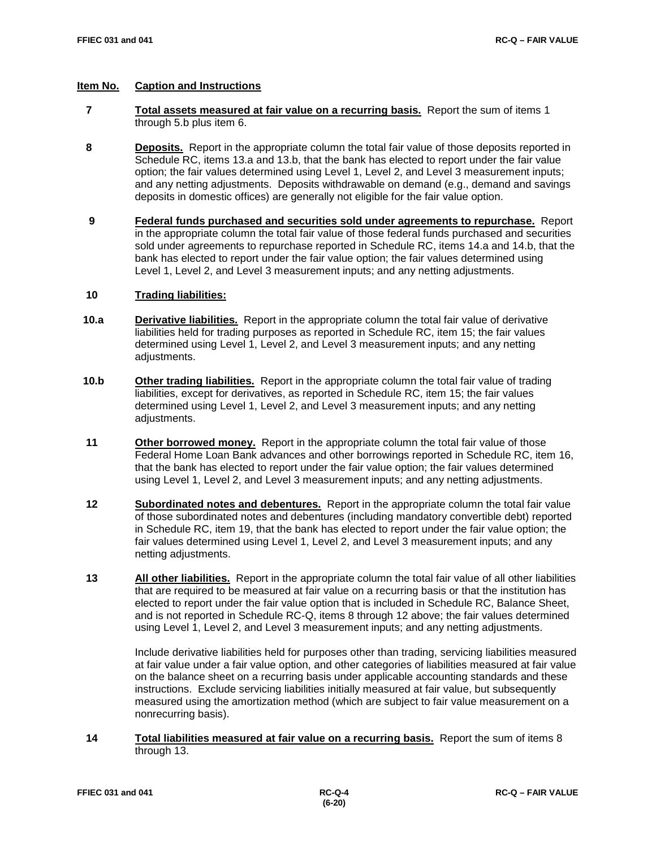## **Item No. Caption and Instructions**

- **7 Total assets measured at fair value on a recurring basis.** Report the sum of items 1 through 5.b plus item 6.
- **8 Deposits.** Report in the appropriate column the total fair value of those deposits reported in Schedule RC, items 13.a and 13.b, that the bank has elected to report under the fair value option; the fair values determined using Level 1, Level 2, and Level 3 measurement inputs; and any netting adjustments. Deposits withdrawable on demand (e.g., demand and savings deposits in domestic offices) are generally not eligible for the fair value option.
- **9 Federal funds purchased and securities sold under agreements to repurchase.** Report in the appropriate column the total fair value of those federal funds purchased and securities sold under agreements to repurchase reported in Schedule RC, items 14.a and 14.b, that the bank has elected to report under the fair value option; the fair values determined using Level 1, Level 2, and Level 3 measurement inputs; and any netting adjustments.

# **10 Trading liabilities:**

- **10.a Derivative liabilities.** Report in the appropriate column the total fair value of derivative liabilities held for trading purposes as reported in Schedule RC, item 15; the fair values determined using Level 1, Level 2, and Level 3 measurement inputs; and any netting adiustments.
- **10.b Other trading liabilities.** Report in the appropriate column the total fair value of trading liabilities, except for derivatives, as reported in Schedule RC, item 15; the fair values determined using Level 1, Level 2, and Level 3 measurement inputs; and any netting adjustments.
- **11 Other borrowed money.** Report in the appropriate column the total fair value of those Federal Home Loan Bank advances and other borrowings reported in Schedule RC, item 16, that the bank has elected to report under the fair value option; the fair values determined using Level 1, Level 2, and Level 3 measurement inputs; and any netting adjustments.
- **12 Subordinated notes and debentures.** Report in the appropriate column the total fair value of those subordinated notes and debentures (including mandatory convertible debt) reported in Schedule RC, item 19, that the bank has elected to report under the fair value option; the fair values determined using Level 1, Level 2, and Level 3 measurement inputs; and any netting adjustments.
- **13 All other liabilities.** Report in the appropriate column the total fair value of all other liabilities that are required to be measured at fair value on a recurring basis or that the institution has elected to report under the fair value option that is included in Schedule RC, Balance Sheet, and is not reported in Schedule RC-Q, items 8 through 12 above; the fair values determined using Level 1, Level 2, and Level 3 measurement inputs; and any netting adjustments.

Include derivative liabilities held for purposes other than trading, servicing liabilities measured at fair value under a fair value option, and other categories of liabilities measured at fair value on the balance sheet on a recurring basis under applicable accounting standards and these instructions. Exclude servicing liabilities initially measured at fair value, but subsequently measured using the amortization method (which are subject to fair value measurement on a nonrecurring basis).

 **14 Total liabilities measured at fair value on a recurring basis.** Report the sum of items 8 through 13.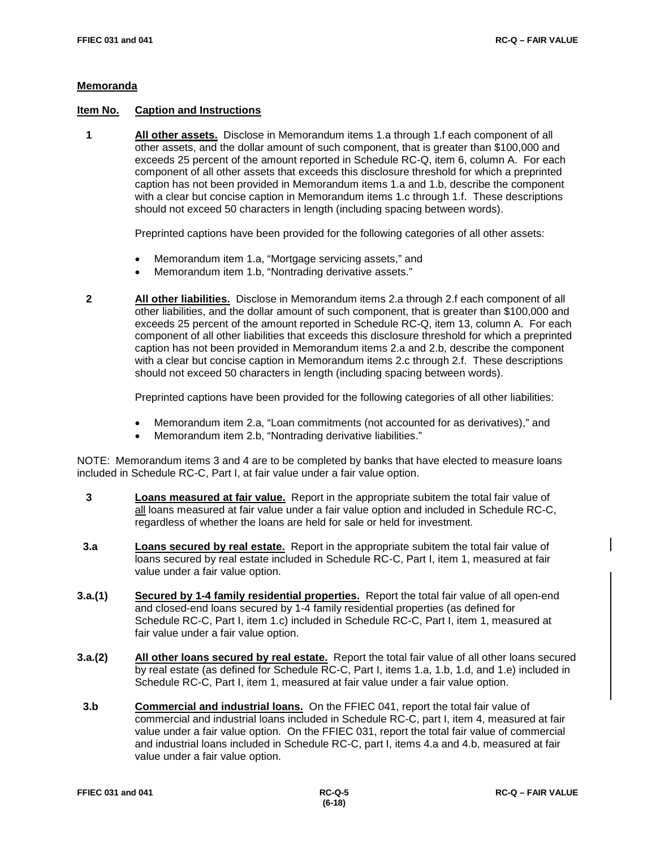#### **Memoranda**

#### **Item No. Caption and Instructions**

 **1 All other assets.** Disclose in Memorandum items 1.a through 1.f each component of all other assets, and the dollar amount of such component, that is greater than \$100,000 and exceeds 25 percent of the amount reported in Schedule RC-Q, item 6, column A. For each component of all other assets that exceeds this disclosure threshold for which a preprinted caption has not been provided in Memorandum items 1.a and 1.b, describe the component with a clear but concise caption in Memorandum items 1.c through 1.f. These descriptions should not exceed 50 characters in length (including spacing between words).

Preprinted captions have been provided for the following categories of all other assets:

- Memorandum item 1.a, "Mortgage servicing assets," and
- Memorandum item 1.b, "Nontrading derivative assets."
- **2 All other liabilities.** Disclose in Memorandum items 2.a through 2.f each component of all other liabilities, and the dollar amount of such component, that is greater than \$100,000 and exceeds 25 percent of the amount reported in Schedule RC-Q, item 13, column A. For each component of all other liabilities that exceeds this disclosure threshold for which a preprinted caption has not been provided in Memorandum items 2.a and 2.b, describe the component with a clear but concise caption in Memorandum items 2.c through 2.f. These descriptions should not exceed 50 characters in length (including spacing between words).

Preprinted captions have been provided for the following categories of all other liabilities:

- Memorandum item 2.a, "Loan commitments (not accounted for as derivatives)," and
- Memorandum item 2.b, "Nontrading derivative liabilities."

NOTE: Memorandum items 3 and 4 are to be completed by banks that have elected to measure loans included in Schedule RC-C, Part I, at fair value under a fair value option.

- **3 Loans measured at fair value.** Report in the appropriate subitem the total fair value of all loans measured at fair value under a fair value option and included in Schedule RC-C, regardless of whether the loans are held for sale or held for investment.
- **3.a Loans secured by real estate.** Report in the appropriate subitem the total fair value of loans secured by real estate included in Schedule RC-C, Part I, item 1, measured at fair value under a fair value option.
- **3.a.(1) Secured by 1-4 family residential properties.** Report the total fair value of all open-end and closed-end loans secured by 1-4 family residential properties (as defined for Schedule RC-C, Part I, item 1.c) included in Schedule RC-C, Part I, item 1, measured at fair value under a fair value option.
- **3.a.(2) All other loans secured by real estate.** Report the total fair value of all other loans secured by real estate (as defined for Schedule RC-C, Part I, items 1.a, 1.b, 1.d, and 1.e) included in Schedule RC-C, Part I, item 1, measured at fair value under a fair value option.
- **3.b Commercial and industrial loans.** On the FFIEC 041, report the total fair value of commercial and industrial loans included in Schedule RC-C, part I, item 4, measured at fair value under a fair value option. On the FFIEC 031, report the total fair value of commercial and industrial loans included in Schedule RC-C, part I, items 4.a and 4.b, measured at fair value under a fair value option.